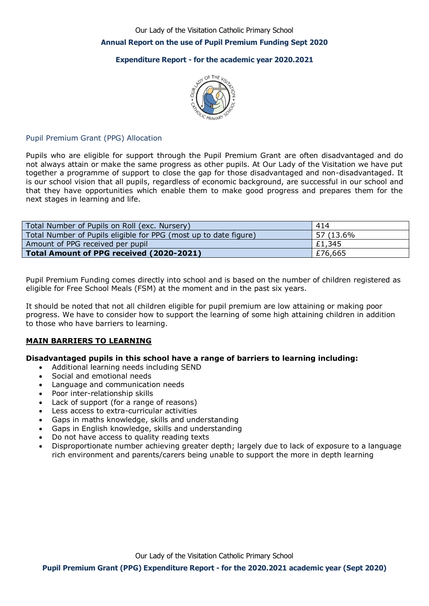Our Lady of the Visitation Catholic Primary School

### **Annual Report on the use of Pupil Premium Funding Sept 2020**

## **Expenditure Report - for the academic year 2020.2021**



## Pupil Premium Grant (PPG) Allocation

Pupils who are eligible for support through the Pupil Premium Grant are often disadvantaged and do not always attain or make the same progress as other pupils. At Our Lady of the Visitation we have put together a programme of support to close the gap for those disadvantaged and non-disadvantaged. It is our school vision that all pupils, regardless of economic background, are successful in our school and that they have opportunities which enable them to make good progress and prepares them for the next stages in learning and life.

| Total Number of Pupils on Roll (exc. Nursery)                    | 414       |
|------------------------------------------------------------------|-----------|
| Total Number of Pupils eligible for PPG (most up to date figure) | 57 (13.6% |
| Amount of PPG received per pupil                                 | £1,345 £  |
| Total Amount of PPG received (2020-2021)                         | £76,665   |

Pupil Premium Funding comes directly into school and is based on the number of children registered as eligible for Free School Meals (FSM) at the moment and in the past six years.

It should be noted that not all children eligible for pupil premium are low attaining or making poor progress. We have to consider how to support the learning of some high attaining children in addition to those who have barriers to learning.

#### **MAIN BARRIERS TO LEARNING**

#### **Disadvantaged pupils in this school have a range of barriers to learning including:**

- Additional learning needs including SEND
- Social and emotional needs
- Language and communication needs
- Poor inter-relationship skills
- Lack of support (for a range of reasons)
- Less access to extra-curricular activities
- Gaps in maths knowledge, skills and understanding
- Gaps in English knowledge, skills and understanding
- Do not have access to quality reading texts
- Disproportionate number achieving greater depth; largely due to lack of exposure to a language rich environment and parents/carers being unable to support the more in depth learning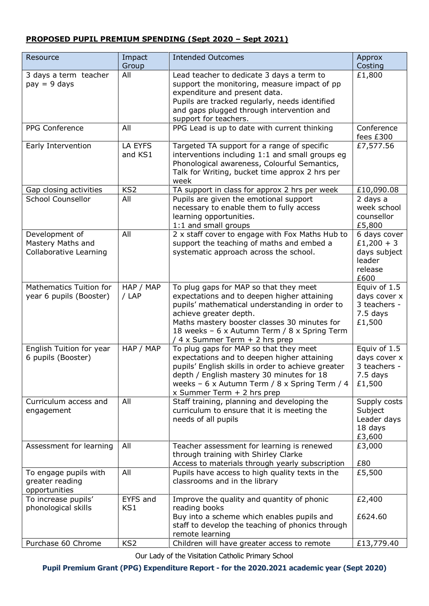# **PROPOSED PUPIL PREMIUM SPENDING (Sept 2020 – Sept 2021)**

| Resource                                                      | Impact<br>Group    | <b>Intended Outcomes</b>                                                                                                                                                                                                                                                                            | Approx<br>Costing                                                         |
|---------------------------------------------------------------|--------------------|-----------------------------------------------------------------------------------------------------------------------------------------------------------------------------------------------------------------------------------------------------------------------------------------------------|---------------------------------------------------------------------------|
| 3 days a term teacher<br>$pay = 9 days$                       | All                | Lead teacher to dedicate 3 days a term to<br>support the monitoring, measure impact of pp<br>expenditure and present data.<br>Pupils are tracked regularly, needs identified<br>and gaps plugged through intervention and<br>support for teachers.                                                  | £1,800                                                                    |
| PPG Conference                                                | All                | PPG Lead is up to date with current thinking                                                                                                                                                                                                                                                        | Conference<br>fees £300                                                   |
| Early Intervention                                            | LA EYFS<br>and KS1 | Targeted TA support for a range of specific<br>interventions including 1:1 and small groups eg<br>Phonological awareness, Colourful Semantics,<br>Talk for Writing, bucket time approx 2 hrs per<br>week                                                                                            | £7,577.56                                                                 |
| Gap closing activities                                        | KS <sub>2</sub>    | TA support in class for approx 2 hrs per week                                                                                                                                                                                                                                                       | £10,090.08                                                                |
| <b>School Counsellor</b>                                      | All                | Pupils are given the emotional support<br>necessary to enable them to fully access<br>learning opportunities.<br>1:1 and small groups                                                                                                                                                               | 2 days a<br>week school<br>counsellor<br>£5,800                           |
| Development of<br>Mastery Maths and<br>Collaborative Learning | All                | 2 x staff cover to engage with Fox Maths Hub to<br>support the teaching of maths and embed a<br>systematic approach across the school.                                                                                                                                                              | 6 days cover<br>$£1,200 + 3$<br>days subject<br>leader<br>release<br>£600 |
| <b>Mathematics Tuition for</b><br>year 6 pupils (Booster)     | HAP / MAP<br>/ LAP | To plug gaps for MAP so that they meet<br>expectations and to deepen higher attaining<br>pupils' mathematical understanding in order to<br>achieve greater depth.<br>Maths mastery booster classes 30 minutes for<br>18 weeks - 6 x Autumn Term / 8 x Spring Term<br>/ 4 x Summer Term + 2 hrs prep | Equiv of 1.5<br>days cover x<br>3 teachers -<br>$7.5$ days<br>£1,500      |
| English Tuition for year<br>6 pupils (Booster)                | HAP / MAP          | To plug gaps for MAP so that they meet<br>expectations and to deepen higher attaining<br>pupils' English skills in order to achieve greater<br>depth / English mastery 30 minutes for 18<br>weeks - 6 x Autumn Term / 8 x Spring Term / 4<br>x Summer Term $+$ 2 hrs prep                           | Equiv of 1.5<br>days cover x<br>3 teachers -<br>7.5 days<br>£1,500        |
| Curriculum access and<br>engagement                           | All                | Staff training, planning and developing the<br>curriculum to ensure that it is meeting the<br>needs of all pupils                                                                                                                                                                                   | Supply costs<br>Subject<br>Leader days<br>18 days<br>£3,600               |
| Assessment for learning                                       | All                | Teacher assessment for learning is renewed<br>through training with Shirley Clarke<br>Access to materials through yearly subscription                                                                                                                                                               | £3,000<br>£80                                                             |
| To engage pupils with<br>greater reading<br>opportunities     | All                | Pupils have access to high quality texts in the<br>classrooms and in the library                                                                                                                                                                                                                    | £5,500                                                                    |
| To increase pupils'<br>phonological skills                    | EYFS and<br>KS1    | Improve the quality and quantity of phonic<br>reading books<br>Buy into a scheme which enables pupils and<br>staff to develop the teaching of phonics through<br>remote learning                                                                                                                    | £2,400<br>£624.60                                                         |
| Purchase 60 Chrome                                            | KS <sub>2</sub>    | Children will have greater access to remote                                                                                                                                                                                                                                                         | £13,779.40                                                                |

Our Lady of the Visitation Catholic Primary School

**Pupil Premium Grant (PPG) Expenditure Report - for the 2020.2021 academic year (Sept 2020)**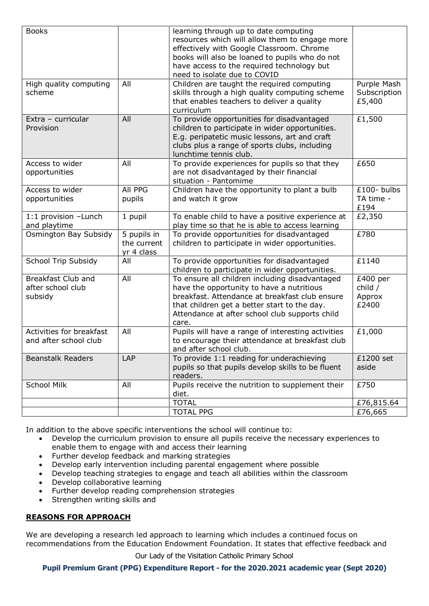| <b>Books</b>                                       |                                          | learning through up to date computing<br>resources which will allow them to engage more<br>effectively with Google Classroom. Chrome<br>books will also be loaned to pupils who do not<br>have access to the required technology but<br>need to isolate due to COVID |                                          |
|----------------------------------------------------|------------------------------------------|----------------------------------------------------------------------------------------------------------------------------------------------------------------------------------------------------------------------------------------------------------------------|------------------------------------------|
| High quality computing<br>scheme                   | All                                      | Children are taught the required computing<br>skills through a high quality computing scheme<br>that enables teachers to deliver a quality<br>curriculum                                                                                                             | Purple Mash<br>Subscription<br>£5,400    |
| Extra - curricular<br>Provision                    | All                                      | To provide opportunities for disadvantaged<br>children to participate in wider opportunities.<br>E.g. peripatetic music lessons, art and craft<br>clubs plus a range of sports clubs, including<br>lunchtime tennis club.                                            | £1,500                                   |
| Access to wider<br>opportunities                   | All                                      | To provide experiences for pupils so that they<br>are not disadvantaged by their financial<br>situation - Pantomime                                                                                                                                                  | £650                                     |
| Access to wider<br>opportunities                   | All PPG<br>pupils                        | Children have the opportunity to plant a bulb<br>and watch it grow                                                                                                                                                                                                   | $£100 - bulbs$<br>TA time -<br>£194      |
| 1:1 provision - Lunch<br>and playtime              | 1 pupil                                  | To enable child to have a positive experience at<br>play time so that he is able to access learning                                                                                                                                                                  | £2,350                                   |
| Osmington Bay Subsidy                              | 5 pupils in<br>the current<br>yr 4 class | To provide opportunities for disadvantaged<br>children to participate in wider opportunities.                                                                                                                                                                        | £780                                     |
| <b>School Trip Subsidy</b>                         | All                                      | To provide opportunities for disadvantaged<br>children to participate in wider opportunities.                                                                                                                                                                        | £1140                                    |
| Breakfast Club and<br>after school club<br>subsidy | All                                      | To ensure all children including disadvantaged<br>have the opportunity to have a nutritious<br>breakfast. Attendance at breakfast club ensure<br>that children get a better start to the day.<br>Attendance at after school club supports child<br>care.             | $£400$ per<br>child /<br>Approx<br>£2400 |
| Activities for breakfast<br>and after school club  | All                                      | Pupils will have a range of interesting activities<br>to encourage their attendance at breakfast club<br>and after school club.                                                                                                                                      | £1,000                                   |
| <b>Beanstalk Readers</b>                           | LAP                                      | To provide 1:1 reading for underachieving<br>pupils so that pupils develop skills to be fluent<br>readers.                                                                                                                                                           | £1200 set<br>aside                       |
| <b>School Milk</b>                                 | All                                      | Pupils receive the nutrition to supplement their<br>diet.                                                                                                                                                                                                            | £750                                     |
|                                                    |                                          | <b>TOTAL</b><br><b>TOTAL PPG</b>                                                                                                                                                                                                                                     | £76,815.64<br>£76,665                    |

In addition to the above specific interventions the school will continue to:

- Develop the curriculum provision to ensure all pupils receive the necessary experiences to enable them to engage with and access their learning
- Further develop feedback and marking strategies
- Develop early intervention including parental engagement where possible
- Develop teaching strategies to engage and teach all abilities within the classroom
- Develop collaborative learning
- Further develop reading comprehension strategies
- Strengthen writing skills and

# **REASONS FOR APPROACH**

We are developing a research led approach to learning which includes a continued focus on recommendations from the Education Endowment Foundation. It states that effective feedback and

Our Lady of the Visitation Catholic Primary School

**Pupil Premium Grant (PPG) Expenditure Report - for the 2020.2021 academic year (Sept 2020)**